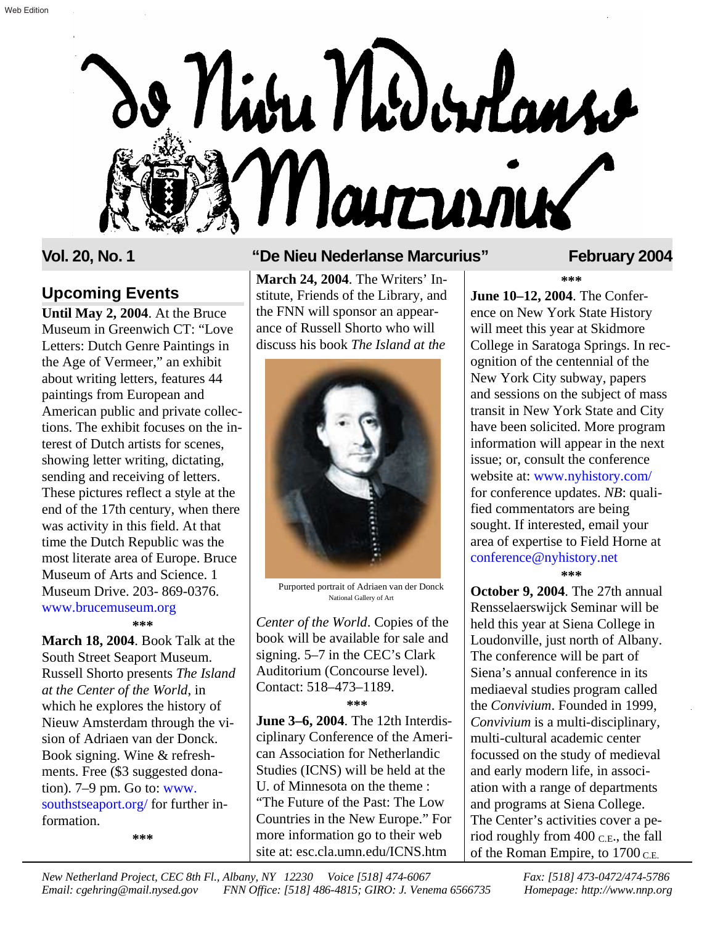

### **Upcoming Events**

**Until May 2, 2004**. At the Bruce Museum in Greenwich CT: "Love Letters: Dutch Genre Paintings in the Age of Vermeer," an exhibit about writing letters, features 44 paintings from European and American public and private collections. The exhibit focuses on the interest of Dutch artists for scenes, showing letter writing, dictating, sending and receiving of letters. These pictures reflect a style at the end of the 17th century, when there was activity in this field. At that time the Dutch Republic was the most literate area of Europe. Bruce Museum of Arts and Science. 1 Museum Drive. 203- 869-0376. **\*\*\*** www.brucemuseum.org

**March 18, 2004**. Book Talk at the South Street Seaport Museum. Russell Shorto presents *The Island at the Center of the World*, in which he explores the history of Nieuw Amsterdam through the vision of Adriaen van der Donck. Book signing. Wine & refreshments. Free (\$3 suggested donation). 7–9 pm. Go to: www. [southstseaport.org/ for further in](http://www.southstseaport.org)formation.

**\*\*\***

### **Vol. 20, No. 1 "De Nieu Nederlanse Marcurius" February 2004**

**March 24, 2004**. The Writers' Institute, Friends of the Library, and the FNN will sponsor an appearance of Russell Shorto who will discuss his book *The Island at the*



Purported portrait of Adriaen van der Donck National Gallery of Art

*Center of the World*. Copies of the book will be available for sale and signing. 5–7 in the CEC's Clark Auditorium (Concourse level). Contact: 518–473–1189. **\*\*\***

**June 3–6, 2004**. The 12th Interdisciplinary Conference of the American Association for Netherlandic Studies (ICNS) will be held at the U. of Minnesota on the theme : "The Future of the Past: The Low Countries in the New Europe." For more information go to their web site at: esc.cla.umn.edu/ICNS.htm

**\*\*\* June 10–12, 2004**. The Conference on New York State History will meet this year at Skidmore College in Saratoga Springs. In recognition of the centennial of the New York City subway, papers and sessions on the subject of mass transit in New York State and City have been solicited. More program information will appear in the next issue; or, consult the conference website at: [www.nyhistory.com/](http://www.nyhistory.com) for conference updates. *NB*: qualified commentators are being sought. If interested, email your area of expertise to Field Horne at [conference@nyhistory.net](mailto:conference@nyhistory.net) **\*\*\***

**October 9, 2004**. The 27th annual Rensselaerswijck Seminar will be held this year at Siena College in Loudonville, just north of Albany. The conference will be part of Siena's annual conference in its mediaeval studies program called the *Convivium*. Founded in 1999, *Convivium* is a multi-disciplinary, multi-cultural academic center focussed on the study of medieval and early modern life, in association with a range of departments and programs at Siena College. The Center's activities cover a period roughly from 400 C.E., the fall of the Roman Empire, to  $1700$  C.E.

*New Netherland Project, CEC 8th Fl., Albany, NY 12230 Voice [518] 474-6067 Fax: [518] 473-0472/474-5786 Email: cgehring@mail.nysed.gov FNN Office: [518] 486-4815; GIRO: J. Venema 6566735 Homepage:<http://www.nnp.org>*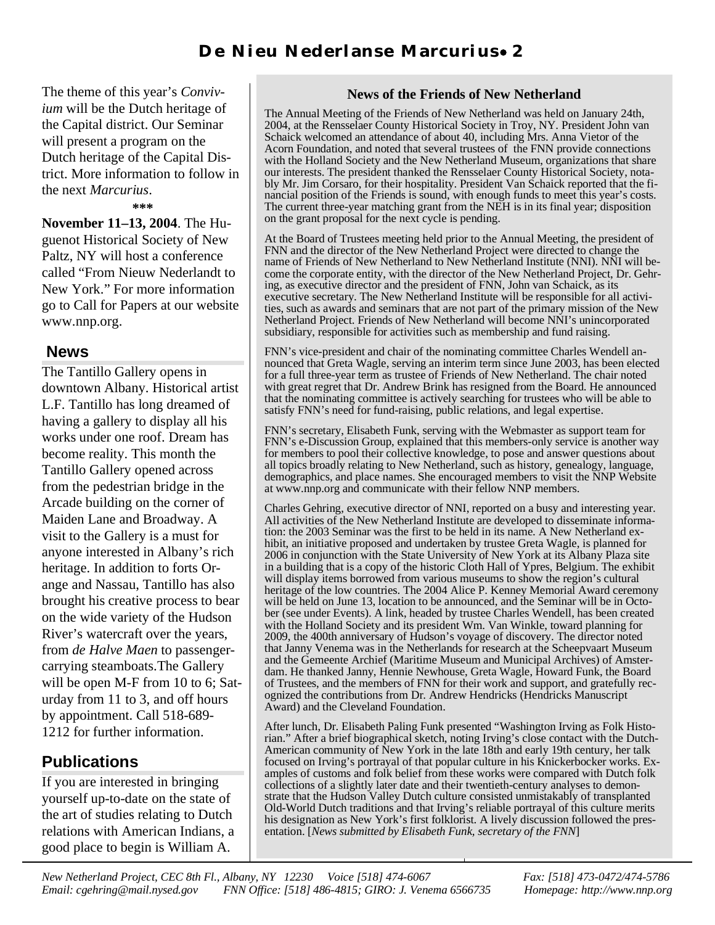The theme of this year's *Convivium* will be the Dutch heritage of the Capital district. Our Seminar will present a program on the Dutch heritage of the Capital District. More information to follow in the next *Marcurius*.

**\*\*\***

**November 11–13, 2004**. The Huguenot Historical Society of New Paltz, NY will host a conference called "From Nieuw Nederlandt to New York." For more information go to Call for Papers at our website www.nnp.org.

### **News**

The Tantillo Gallery opens in downtown Albany. Historical artist L.F. Tantillo has long dreamed of having a gallery to display all his works under one roof. Dream has become reality. This month the Tantillo Gallery opened across from the pedestrian bridge in the Arcade building on the corner of Maiden Lane and Broadway. A visit to the Gallery is a must for anyone interested in Albany's rich heritage. In addition to forts Orange and Nassau, Tantillo has also brought his creative process to bear on the wide variety of the Hudson River's watercraft over the years, from *de Halve Maen* to passengercarrying steamboats.The Gallery will be open M-F from 10 to 6; Saturday from 11 to 3, and off hours by appointment. Call 518-689- 1212 for further information.

## **Publications**

If you are interested in bringing yourself up-to-date on the state of the art of studies relating to Dutch relations with American Indians, a good place to begin is William A.

### **News of the Friends of New Netherland**

The Annual Meeting of the Friends of New Netherland was held on January 24th, 2004, at the Rensselaer County Historical Society in Troy, NY. President John van Schaick welcomed an attendance of about 40, including Mrs. Anna Vietor of the Acorn Foundation, and noted that several trustees of the FNN provide connections with the Holland Society and the New Netherland Museum, organizations that share our interests. The president thanked the Rensselaer County Historical Society, notably Mr. Jim Corsaro, for their hospitality. President Van Schaick reported that the financial position of the Friends is sound, with enough funds to meet this year's costs. The current three-year matching grant from the NEH is in its final year; disposition on the grant proposal for the next cycle is pending.

At the Board of Trustees meeting held prior to the Annual Meeting, the president of FNN and the director of the New Netherland Project were directed to change the name of Friends of New Netherland to New Netherland Institute (NNI). NNI will become the corporate entity, with the director of the New Netherland Project, Dr. Gehring, as executive director and the president of FNN, John van Schaick, as its executive secretary. The New Netherland Institute will be responsible for all activities, such as awards and seminars that are not part of the primary mission of the New Netherland Project. Friends of New Netherland will become NNI's unincorporated subsidiary, responsible for activities such as membership and fund raising.

FNN's vice-president and chair of the nominating committee Charles Wendell announced that Greta Wagle, serving an interim term since June 2003, has been elected for a full three-year term as trustee of Friends of New Netherland. The chair noted with great regret that Dr. Andrew Brink has resigned from the Board. He announced that the nominating committee is actively searching for trustees who will be able to satisfy FNN's need for fund-raising, public relations, and legal expertise.

FNN's secretary, Elisabeth Funk, serving with the Webmaster as support team for FNN's e-Discussion Group, explained that this members-only service is another way for members to pool their collective knowledge, to pose and answer questions about all topics broadly relating to New Netherland, such as history, genealogy, language, demographics, and place names. She encouraged members to visit the NNP Website at www.nnp.org and communicate with their fellow NNP members.

Charles Gehring, executive director of NNI, reported on a busy and interesting year. All activities of the New Netherland Institute are developed to disseminate information: the 2003 Seminar was the first to be held in its name. A New Netherland exhibit, an initiative proposed and undertaken by trustee Greta Wagle, is planned for 2006 in conjunction with the State University of New York at its Albany Plaza site in a building that is a copy of the historic Cloth Hall of Ypres, Belgium. The exhibit will display items borrowed from various museums to show the region's cultural heritage of the low countries. The 2004 Alice P. Kenney Memorial Award ceremony will be held on June 13, location to be announced, and the Seminar will be in October (see under Events). A link, headed by trustee Charles Wendell, has been created with the Holland Society and its president Wm. Van Winkle, toward planning for 2009, the 400th anniversary of Hudson's voyage of discovery. The director noted that Janny Venema was in the Netherlands for research at the Scheepvaart Museum and the Gemeente Archief (Maritime Museum and Municipal Archives) of Amsterdam. He thanked Janny, Hennie Newhouse, Greta Wagle, Howard Funk, the Board of Trustees, and the members of FNN for their work and support, and gratefully recognized the contributions from Dr. Andrew Hendricks (Hendricks Manuscript Award) and the Cleveland Foundation.

After lunch, Dr. Elisabeth Paling Funk presented "Washington Irving as Folk Historian." After a brief biographical sketch, noting Irving's close contact with the Dutch-American community of New York in the late 18th and early 19th century, her talk focused on Irving's portrayal of that popular culture in his Knickerbocker works. Examples of customs and folk belief from these works were compared with Dutch folk collections of a slightly later date and their twentieth-century analyses to demonstrate that the Hudson Valley Dutch culture consisted unmistakably of transplanted Old-World Dutch traditions and that Irving's reliable portrayal of this culture merits his designation as New York's first folklorist. A lively discussion followed the presentation. [*News submitted by Elisabeth Funk, secretary of the FNN*]

*New Netherland Project, CEC 8th Fl., Albany, NY 12230 Voice [518] 474-6067 Fax: [518] 473-0472/474-5786 Email: cgehring@mail.nysed.gov FNN Office: [518] 486-4815; GIRO: J. Venema 6566735 Homepage:<http://www.nnp.org>*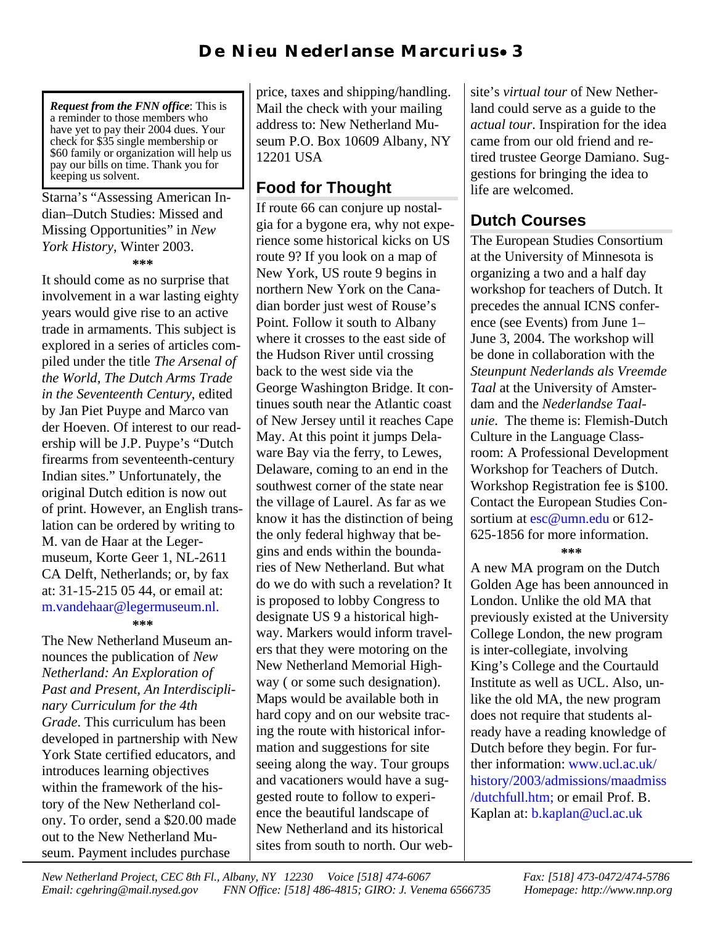*Request from the FNN office*: This is a reminder to those members who have yet to pay their 2004 dues. Your check for \$35 single membership or \$60 family or organization will help us pay our bills on time. Thank you for keeping us solvent.

#### Starna's "Assessing American Indian–Dutch Studies: Missed and Missing Opportunities" in *New York History*, Winter 2003. **\*\*\***

It should come as no surprise that involvement in a war lasting eighty years would give rise to an active trade in armaments. This subject is explored in a series of articles compiled under the title *The Arsenal of the World, The Dutch Arms Trade in the Seventeenth Century*, edited by Jan Piet Puype and Marco van der Hoeven. Of interest to our readership will be J.P. Puype's "Dutch firearms from seventeenth-century Indian sites." Unfortunately, the original Dutch edition is now out of print. However, an English translation can be ordered by writing to M. van de Haar at the Legermuseum, Korte Geer 1, NL-2611 CA Delft, Netherlands; or, by fax at: 31-15-215 05 44, or email at: [m.vandehaar@legermuseum.nl.](mailto:m.vandehaar@leermuseum.nl) **\*\*\***

The New Netherland Museum announces the publication of *New Netherland: An Exploration of Past and Present, An Interdisciplinary Curriculum for the 4th Grade*. This curriculum has been developed in partnership with New York State certified educators, and introduces learning objectives within the framework of the history of the New Netherland colony. To order, send a \$20.00 made out to the New Netherland Museum. Payment includes purchase

price, taxes and shipping/handling. Mail the check with your mailing address to: New Netherland Museum P.O. Box 10609 Albany, NY 12201 USA

# **Food for Thought**

If route 66 can conjure up nostalgia for a bygone era, why not experience some historical kicks on US route 9? If you look on a map of New York, US route 9 begins in northern New York on the Canadian border just west of Rouse's Point. Follow it south to Albany where it crosses to the east side of the Hudson River until crossing back to the west side via the George Washington Bridge. It continues south near the Atlantic coast of New Jersey until it reaches Cape May. At this point it jumps Delaware Bay via the ferry, to Lewes, Delaware, coming to an end in the southwest corner of the state near the village of Laurel. As far as we know it has the distinction of being the only federal highway that begins and ends within the boundaries of New Netherland. But what do we do with such a revelation? It is proposed to lobby Congress to designate US 9 a historical highway. Markers would inform travelers that they were motoring on the New Netherland Memorial Highway ( or some such designation). Maps would be available both in hard copy and on our website tracing the route with historical information and suggestions for site seeing along the way. Tour groups and vacationers would have a suggested route to follow to experience the beautiful landscape of New Netherland and its historical sites from south to north. Our website's *virtual tour* of New Netherland could serve as a guide to the *actual tour*. Inspiration for the idea came from our old friend and retired trustee George Damiano. Suggestions for bringing the idea to life are welcomed.

# **Dutch Courses**

The European Studies Consortium at the University of Minnesota is organizing a two and a half day workshop for teachers of Dutch. It precedes the annual ICNS conference (see Events) from June 1– June 3, 2004. The workshop will be done in collaboration with the *Steunpunt Nederlands als Vreemde Taal* at the University of Amsterdam and the *Nederlandse Taalunie*. The theme is: Flemish-Dutch Culture in the Language Classroom: A Professional Development Workshop for Teachers of Dutch. Workshop Registration fee is \$100. Contact the European Studies Consortium at [esc@umn.edu](mailto:esc@umn.edu) or 612-625-1856 for more information. **\*\*\***

A new MA program on the Dutch Golden Age has been announced in London. Unlike the old MA that previously existed at the University College London, the new program is inter-collegiate, involving King's College and the Courtauld Institute as well as UCL. Also, unlike the old MA, the new program does not require that students already have a reading knowledge of Dutch before they begin. For further information: www.ucl.ac.uk/ [history/2003/admissions/maadmiss](http://www.ucl.ac.uk/history/2003/admissions/maadmiss/dutchfull.htm) /dutchfull.htm; or email Prof. B. Kaplan at: [b.kaplan@ucl.ac.uk](mailto:b.kaplan@ucl.ac.uk)

*New Netherland Project, CEC 8th Fl., Albany, NY 12230 Voice [518] 474-6067 Fax: [518] 473-0472/474-5786 Email: cgehring@mail.nysed.gov FNN Office: [518] 486-4815; GIRO: J. Venema 6566735 Homepage:<http://www.nnp.org>*